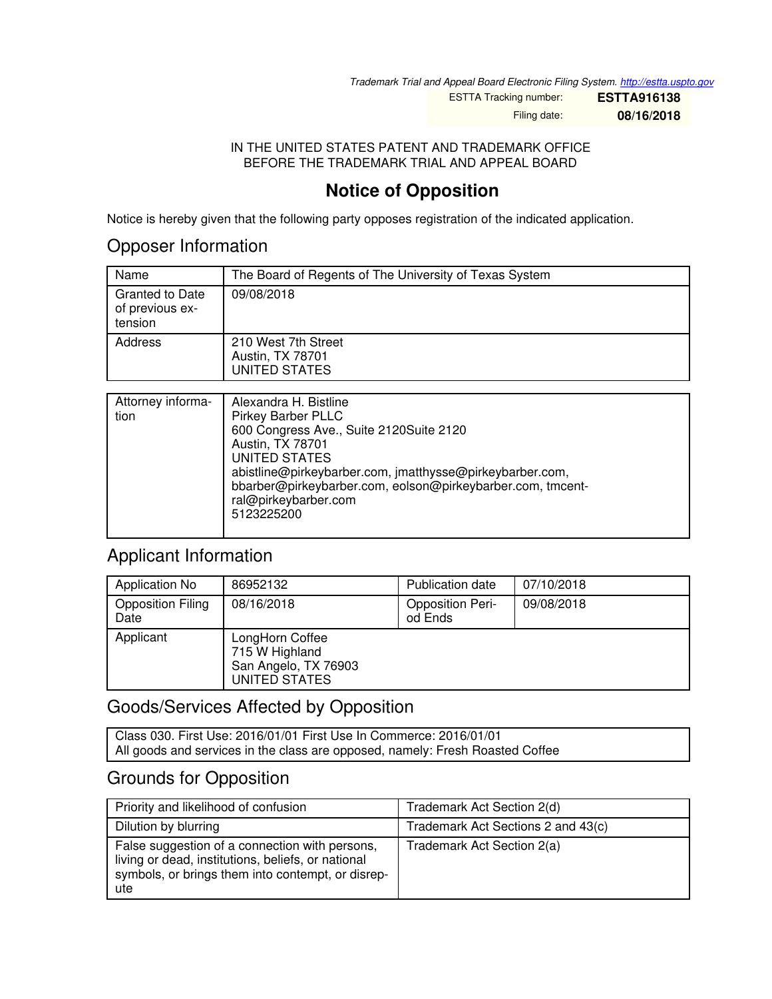*Trademark Trial and Appeal Board Electronic Filing System. <http://estta.uspto.gov>*

ESTTA Tracking number: **ESTTA916138**

Filing date: **08/16/2018**

#### IN THE UNITED STATES PATENT AND TRADEMARK OFFICE BEFORE THE TRADEMARK TRIAL AND APPEAL BOARD

## **Notice of Opposition**

Notice is hereby given that the following party opposes registration of the indicated application.

#### Opposer Information

| Name                                                 | The Board of Regents of The University of Texas System   |
|------------------------------------------------------|----------------------------------------------------------|
| <b>Granted to Date</b><br>of previous ex-<br>tension | 09/08/2018                                               |
| Address                                              | 210 West 7th Street<br>Austin, TX 78701<br>UNITED STATES |

| Attorney informa-<br>tion | Alexandra H. Bistline<br><b>Pirkey Barber PLLC</b><br>600 Congress Ave., Suite 2120Suite 2120<br>Austin, TX 78701<br>UNITED STATES<br>abistline@pirkeybarber.com, jmatthysse@pirkeybarber.com,<br>bbarber@pirkeybarber.com, eolson@pirkeybarber.com, tmcent-<br>ral@pirkeybarber.com<br>5123225200 |
|---------------------------|----------------------------------------------------------------------------------------------------------------------------------------------------------------------------------------------------------------------------------------------------------------------------------------------------|

## Applicant Information

| Application No                   | 86952132                                                                   | <b>Publication date</b>            | 07/10/2018 |
|----------------------------------|----------------------------------------------------------------------------|------------------------------------|------------|
| <b>Opposition Filing</b><br>Date | 08/16/2018                                                                 | <b>Opposition Peri-</b><br>od Ends | 09/08/2018 |
| Applicant                        | LongHorn Coffee<br>715 W Highland<br>San Angelo, TX 76903<br>UNITED STATES |                                    |            |

## Goods/Services Affected by Opposition

Class 030. First Use: 2016/01/01 First Use In Commerce: 2016/01/01 All goods and services in the class are opposed, namely: Fresh Roasted Coffee

## Grounds for Opposition

| Priority and likelihood of confusion                                                                                                                             | Trademark Act Section 2(d)         |
|------------------------------------------------------------------------------------------------------------------------------------------------------------------|------------------------------------|
| Dilution by blurring                                                                                                                                             | Trademark Act Sections 2 and 43(c) |
| False suggestion of a connection with persons,<br>living or dead, institutions, beliefs, or national<br>symbols, or brings them into contempt, or disrep-<br>ute | Trademark Act Section 2(a)         |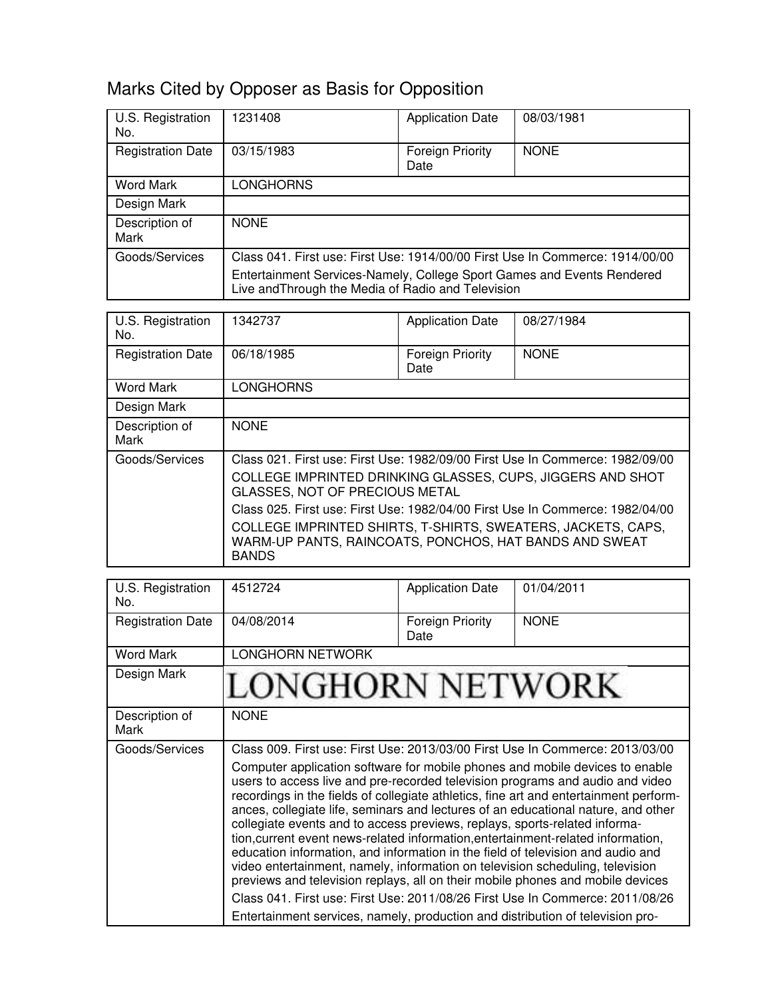## Marks Cited by Opposer as Basis for Opposition

| U.S. Registration<br>No. | 1231408                                                                                                                      | <b>Application Date</b>  | 08/03/1981  |
|--------------------------|------------------------------------------------------------------------------------------------------------------------------|--------------------------|-------------|
| <b>Registration Date</b> | 03/15/1983                                                                                                                   | Foreign Priority<br>Date | <b>NONE</b> |
| <b>Word Mark</b>         | <b>LONGHORNS</b>                                                                                                             |                          |             |
| Design Mark              |                                                                                                                              |                          |             |
| Description of<br>Mark   | <b>NONE</b>                                                                                                                  |                          |             |
| Goods/Services           | Class 041. First use: First Use: 1914/00/00 First Use In Commerce: 1914/00/00                                                |                          |             |
|                          | Entertainment Services-Namely, College Sport Games and Events Rendered<br>Live and Through the Media of Radio and Television |                          |             |

| U.S. Registration<br>No. | 1342737                                                                                                                                | <b>Application Date</b>         | 08/27/1984  |
|--------------------------|----------------------------------------------------------------------------------------------------------------------------------------|---------------------------------|-------------|
| <b>Registration Date</b> | 06/18/1985                                                                                                                             | <b>Foreign Priority</b><br>Date | <b>NONE</b> |
| Word Mark                | <b>LONGHORNS</b>                                                                                                                       |                                 |             |
| Design Mark              |                                                                                                                                        |                                 |             |
| Description of<br>Mark   | <b>NONE</b>                                                                                                                            |                                 |             |
| Goods/Services           | Class 021. First use: First Use: 1982/09/00 First Use In Commerce: 1982/09/00                                                          |                                 |             |
|                          | COLLEGE IMPRINTED DRINKING GLASSES, CUPS, JIGGERS AND SHOT<br>GLASSES, NOT OF PRECIOUS METAL                                           |                                 |             |
|                          | Class 025. First use: First Use: 1982/04/00 First Use In Commerce: 1982/04/00                                                          |                                 |             |
|                          | COLLEGE IMPRINTED SHIRTS, T-SHIRTS, SWEATERS, JACKETS, CAPS,<br>WARM-UP PANTS, RAINCOATS, PONCHOS, HAT BANDS AND SWEAT<br><b>BANDS</b> |                                 |             |

| U.S. Registration<br>No. | 4512724                                                                                                                                                                                                                                                                                                                                                                                                                                                                                                                                                                                                                                                                                                                                                                                                                                                                                                                                | <b>Application Date</b>         | 01/04/2011  |
|--------------------------|----------------------------------------------------------------------------------------------------------------------------------------------------------------------------------------------------------------------------------------------------------------------------------------------------------------------------------------------------------------------------------------------------------------------------------------------------------------------------------------------------------------------------------------------------------------------------------------------------------------------------------------------------------------------------------------------------------------------------------------------------------------------------------------------------------------------------------------------------------------------------------------------------------------------------------------|---------------------------------|-------------|
| <b>Registration Date</b> | 04/08/2014                                                                                                                                                                                                                                                                                                                                                                                                                                                                                                                                                                                                                                                                                                                                                                                                                                                                                                                             | <b>Foreign Priority</b><br>Date | <b>NONE</b> |
| <b>Word Mark</b>         | <b>LONGHORN NETWORK</b>                                                                                                                                                                                                                                                                                                                                                                                                                                                                                                                                                                                                                                                                                                                                                                                                                                                                                                                |                                 |             |
| Design Mark              | LONGHORN NETWORK                                                                                                                                                                                                                                                                                                                                                                                                                                                                                                                                                                                                                                                                                                                                                                                                                                                                                                                       |                                 |             |
| Description of<br>Mark   | <b>NONE</b>                                                                                                                                                                                                                                                                                                                                                                                                                                                                                                                                                                                                                                                                                                                                                                                                                                                                                                                            |                                 |             |
| Goods/Services           | Class 009. First use: First Use: 2013/03/00 First Use In Commerce: 2013/03/00                                                                                                                                                                                                                                                                                                                                                                                                                                                                                                                                                                                                                                                                                                                                                                                                                                                          |                                 |             |
|                          | Computer application software for mobile phones and mobile devices to enable<br>users to access live and pre-recorded television programs and audio and video<br>recordings in the fields of collegiate athletics, fine art and entertainment perform-<br>ances, collegiate life, seminars and lectures of an educational nature, and other<br>collegiate events and to access previews, replays, sports-related informa-<br>tion, current event news-related information, entertainment-related information,<br>education information, and information in the field of television and audio and<br>video entertainment, namely, information on television scheduling, television<br>previews and television replays, all on their mobile phones and mobile devices<br>Class 041. First use: First Use: 2011/08/26 First Use In Commerce: 2011/08/26<br>Entertainment services, namely, production and distribution of television pro- |                                 |             |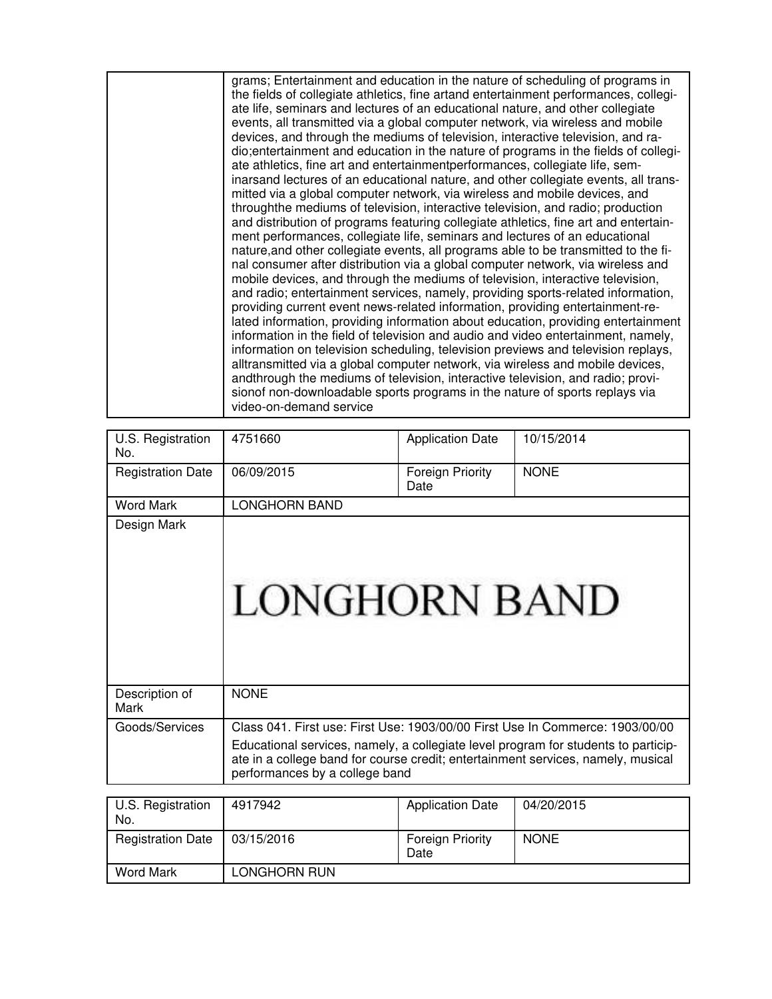| U.S. Registration<br>No. | 4751660                                                                                                                                                                                                                                                                                   | <b>Application Date</b>         | 10/15/2014  |
|--------------------------|-------------------------------------------------------------------------------------------------------------------------------------------------------------------------------------------------------------------------------------------------------------------------------------------|---------------------------------|-------------|
| <b>Registration Date</b> | 06/09/2015                                                                                                                                                                                                                                                                                | <b>Foreign Priority</b><br>Date | <b>NONE</b> |
| <b>Word Mark</b>         | <b>LONGHORN BAND</b>                                                                                                                                                                                                                                                                      |                                 |             |
| Design Mark              | <b>LONGHORN BAND</b>                                                                                                                                                                                                                                                                      |                                 |             |
| Description of<br>Mark   | <b>NONE</b>                                                                                                                                                                                                                                                                               |                                 |             |
| Goods/Services           | Class 041. First use: First Use: 1903/00/00 First Use In Commerce: 1903/00/00<br>Educational services, namely, a collegiate level program for students to particip-<br>ate in a college band for course credit; entertainment services, namely, musical<br>performances by a college band |                                 |             |
|                          |                                                                                                                                                                                                                                                                                           |                                 |             |
| U.S. Registration        | 4917942                                                                                                                                                                                                                                                                                   | <b>Application Date</b>         | 04/20/2015  |

| U.S. Registration<br>No. | 4917942      | <b>Application Date</b>         | 04/20/2015  |
|--------------------------|--------------|---------------------------------|-------------|
| <b>Registration Date</b> | 03/15/2016   | <b>Foreign Priority</b><br>Date | <b>NONE</b> |
| <b>Word Mark</b>         | LONGHORN RUN |                                 |             |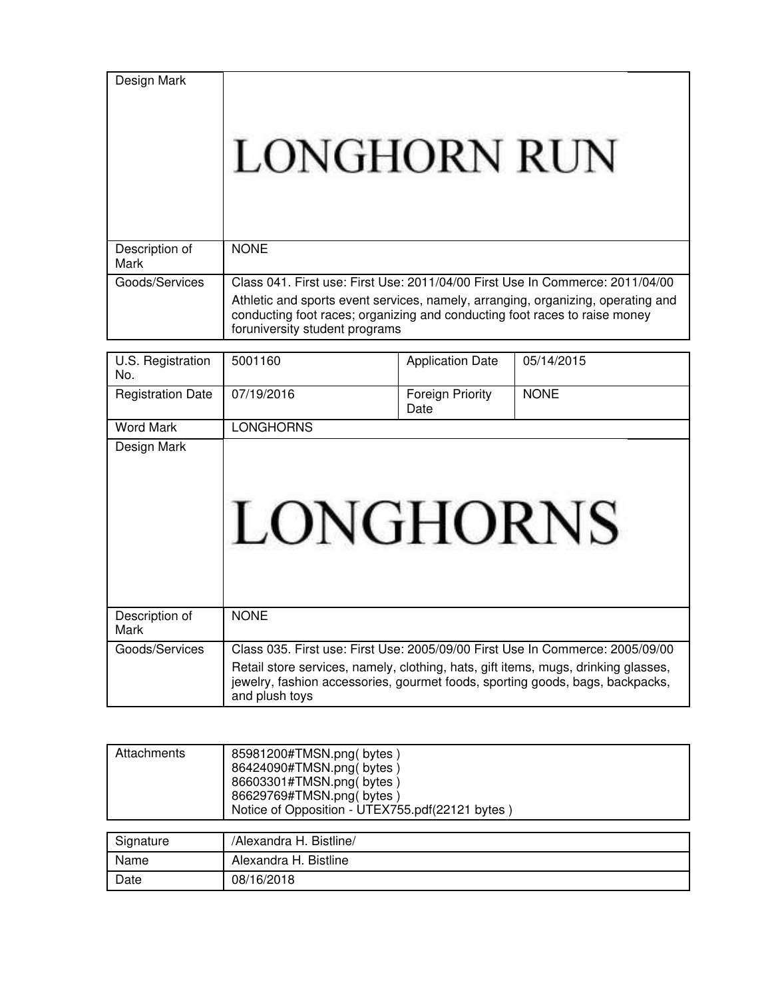Design Mark

# **LONGHORN RUN**

| Description of<br>Mark | <b>NONE</b>                                                                                                                                                                                      |
|------------------------|--------------------------------------------------------------------------------------------------------------------------------------------------------------------------------------------------|
| Goods/Services         | Class 041. First use: First Use: 2011/04/00 First Use In Commerce: 2011/04/00                                                                                                                    |
|                        | Athletic and sports event services, namely, arranging, organizing, operating and<br>conducting foot races; organizing and conducting foot races to raise money<br>foruniversity student programs |

| U.S. Registration<br>No. | 5001160                                                                                                                                                                               | <b>Application Date</b>  | 05/14/2015  |
|--------------------------|---------------------------------------------------------------------------------------------------------------------------------------------------------------------------------------|--------------------------|-------------|
| <b>Registration Date</b> | 07/19/2016                                                                                                                                                                            | Foreign Priority<br>Date | <b>NONE</b> |
| Word Mark                | <b>LONGHORNS</b>                                                                                                                                                                      |                          |             |
| Design Mark              | LONGHORNS                                                                                                                                                                             |                          |             |
| Description of<br>Mark   | <b>NONE</b>                                                                                                                                                                           |                          |             |
| Goods/Services           | Class 035. First use: First Use: 2005/09/00 First Use In Commerce: 2005/09/00                                                                                                         |                          |             |
|                          | Retail store services, namely, clothing, hats, gift items, mugs, drinking glasses,<br>jewelry, fashion accessories, gourmet foods, sporting goods, bags, backpacks,<br>and plush toys |                          |             |

| Attachments | 85981200#TMSN.png(bytes)<br>86424090#TMSN.png(bytes)<br>86603301#TMSN.png(bytes)<br>86629769#TMSN.png(bytes)<br>Notice of Opposition - UTEX755.pdf(22121 bytes) |  |
|-------------|-----------------------------------------------------------------------------------------------------------------------------------------------------------------|--|
| Signature   | /Alexandra H. Bistline/                                                                                                                                         |  |
| Name        | Alexandra H. Bistline                                                                                                                                           |  |
| Date        | 08/16/2018                                                                                                                                                      |  |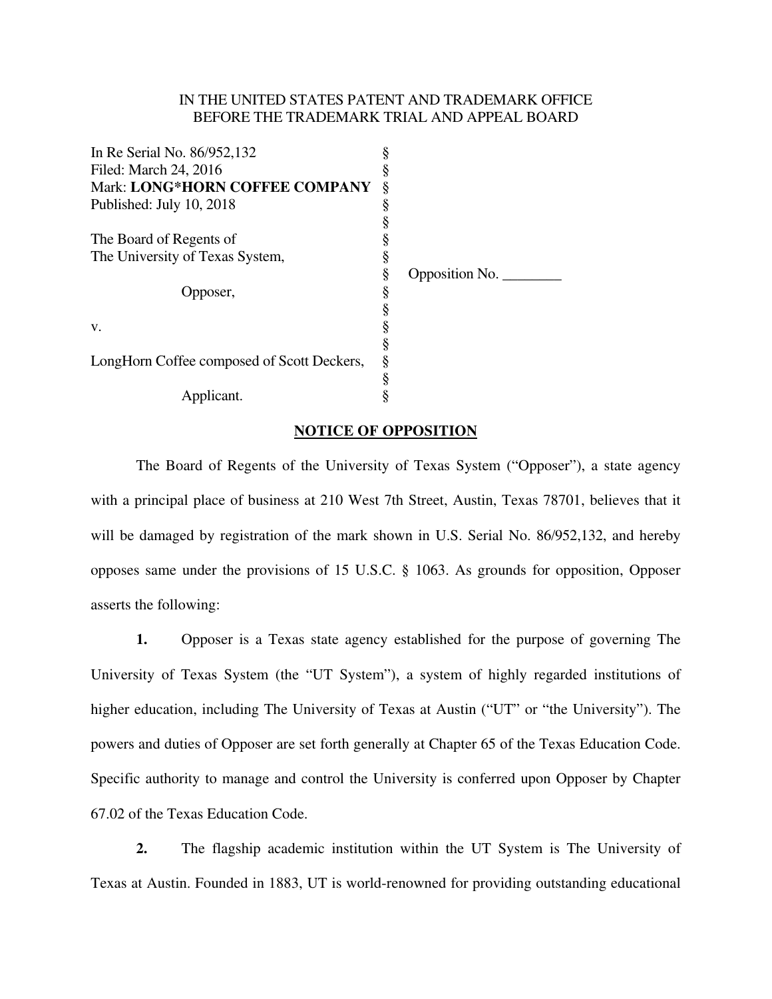#### IN THE UNITED STATES PATENT AND TRADEMARK OFFICE BEFORE THE TRADEMARK TRIAL AND APPEAL BOARD

| In Re Serial No. 86/952,132                |   |                |
|--------------------------------------------|---|----------------|
| Filed: March 24, 2016                      |   |                |
| Mark: LONG*HORN COFFEE COMPANY             | ş |                |
| Published: July 10, 2018                   |   |                |
|                                            |   |                |
| The Board of Regents of                    |   |                |
| The University of Texas System,            |   |                |
|                                            | § | Opposition No. |
| Opposer,                                   | ş |                |
|                                            |   |                |
| V.                                         |   |                |
|                                            |   |                |
| LongHorn Coffee composed of Scott Deckers, | ş |                |
|                                            |   |                |
| Applicant.                                 |   |                |

#### **NOTICE OF OPPOSITION**

 The Board of Regents of the University of Texas System ("Opposer"), a state agency with a principal place of business at 210 West 7th Street, Austin, Texas 78701, believes that it will be damaged by registration of the mark shown in U.S. Serial No. 86/952,132, and hereby opposes same under the provisions of 15 U.S.C. § 1063. As grounds for opposition, Opposer asserts the following:

**1.** Opposer is a Texas state agency established for the purpose of governing The University of Texas System (the "UT System"), a system of highly regarded institutions of higher education, including The University of Texas at Austin ("UT" or "the University"). The powers and duties of Opposer are set forth generally at Chapter 65 of the Texas Education Code. Specific authority to manage and control the University is conferred upon Opposer by Chapter 67.02 of the Texas Education Code.

**2.** The flagship academic institution within the UT System is The University of Texas at Austin. Founded in 1883, UT is world-renowned for providing outstanding educational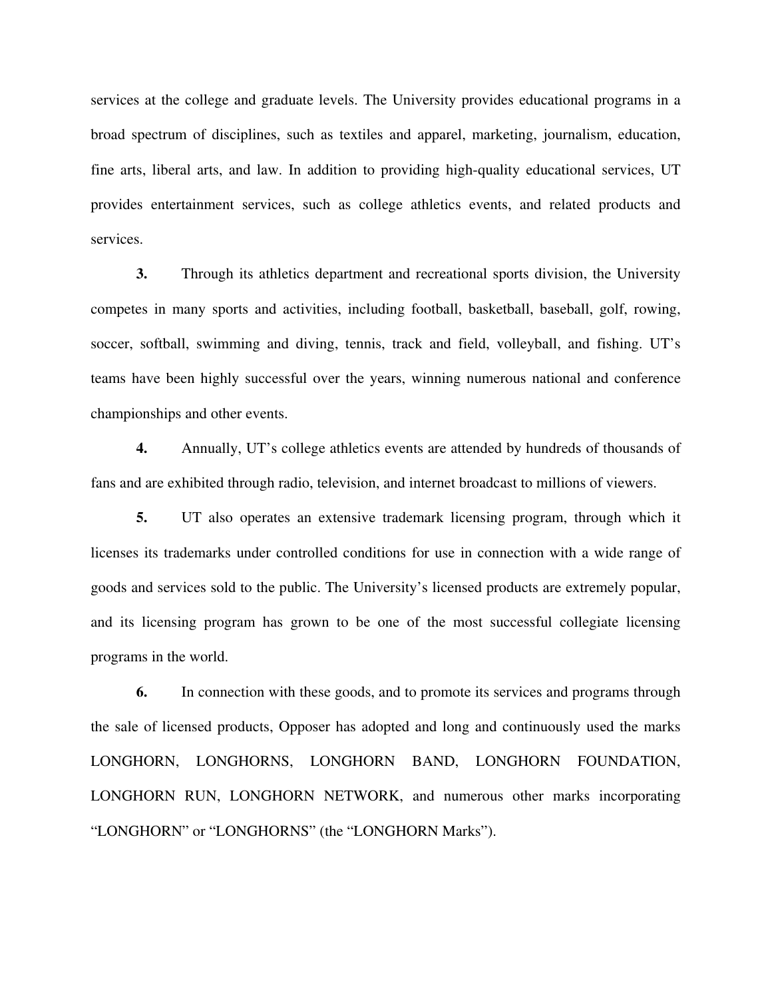services at the college and graduate levels. The University provides educational programs in a broad spectrum of disciplines, such as textiles and apparel, marketing, journalism, education, fine arts, liberal arts, and law. In addition to providing high-quality educational services, UT provides entertainment services, such as college athletics events, and related products and services.

**3.** Through its athletics department and recreational sports division, the University competes in many sports and activities, including football, basketball, baseball, golf, rowing, soccer, softball, swimming and diving, tennis, track and field, volleyball, and fishing. UT's teams have been highly successful over the years, winning numerous national and conference championships and other events.

**4.** Annually, UT's college athletics events are attended by hundreds of thousands of fans and are exhibited through radio, television, and internet broadcast to millions of viewers.

**5.** UT also operates an extensive trademark licensing program, through which it licenses its trademarks under controlled conditions for use in connection with a wide range of goods and services sold to the public. The University's licensed products are extremely popular, and its licensing program has grown to be one of the most successful collegiate licensing programs in the world.

 **6.** In connection with these goods, and to promote its services and programs through the sale of licensed products, Opposer has adopted and long and continuously used the marks LONGHORN, LONGHORNS, LONGHORN BAND, LONGHORN FOUNDATION, LONGHORN RUN, LONGHORN NETWORK, and numerous other marks incorporating "LONGHORN" or "LONGHORNS" (the "LONGHORN Marks").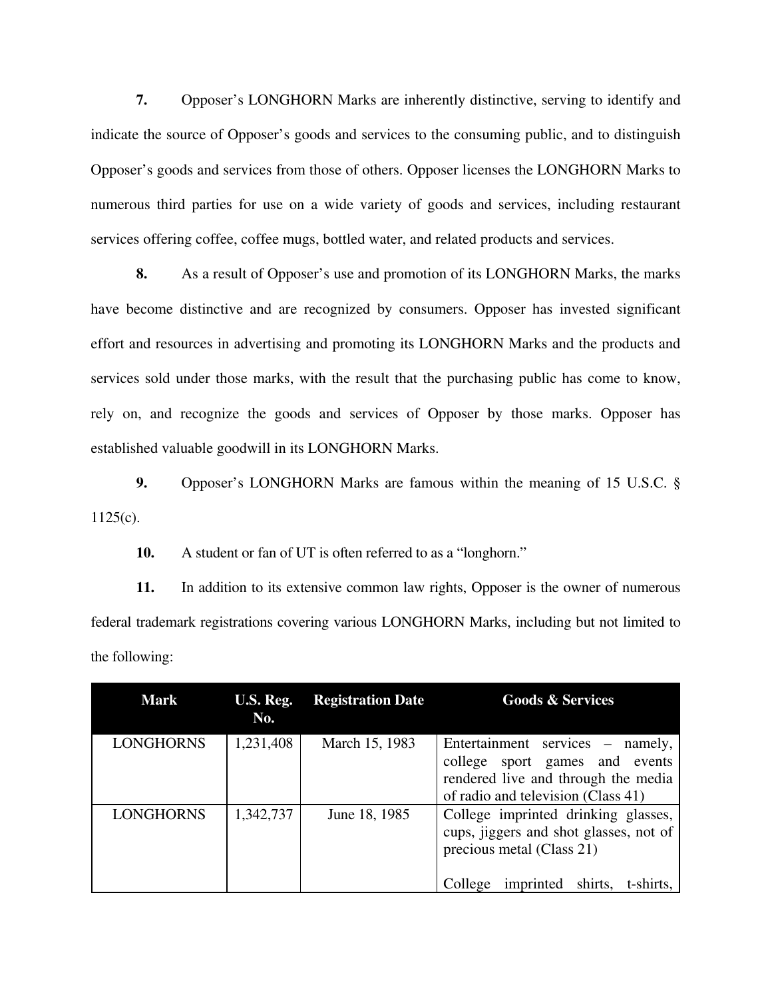**7.** Opposer's LONGHORN Marks are inherently distinctive, serving to identify and indicate the source of Opposer's goods and services to the consuming public, and to distinguish Opposer's goods and services from those of others. Opposer licenses the LONGHORN Marks to numerous third parties for use on a wide variety of goods and services, including restaurant services offering coffee, coffee mugs, bottled water, and related products and services.

**8.** As a result of Opposer's use and promotion of its LONGHORN Marks, the marks have become distinctive and are recognized by consumers. Opposer has invested significant effort and resources in advertising and promoting its LONGHORN Marks and the products and services sold under those marks, with the result that the purchasing public has come to know, rely on, and recognize the goods and services of Opposer by those marks. Opposer has established valuable goodwill in its LONGHORN Marks.

**9.** Opposer's LONGHORN Marks are famous within the meaning of 15 U.S.C. §  $1125(c)$ .

**10.** A student or fan of UT is often referred to as a "longhorn."

**11.** In addition to its extensive common law rights, Opposer is the owner of numerous federal trademark registrations covering various LONGHORN Marks, including but not limited to the following:

| <b>Mark</b>      | U.S. Reg.<br>No. | <b>Registration Date</b> | <b>Goods &amp; Services</b>                                                                                                                                |
|------------------|------------------|--------------------------|------------------------------------------------------------------------------------------------------------------------------------------------------------|
| <b>LONGHORNS</b> | 1,231,408        | March 15, 1983           | Entertainment services – namely,<br>college sport games and events<br>rendered live and through the media<br>of radio and television (Class 41)            |
| <b>LONGHORNS</b> | 1,342,737        | June 18, 1985            | College imprinted drinking glasses,<br>cups, jiggers and shot glasses, not of<br>precious metal (Class 21)<br>shirts,<br>t-shirts,<br>imprinted<br>College |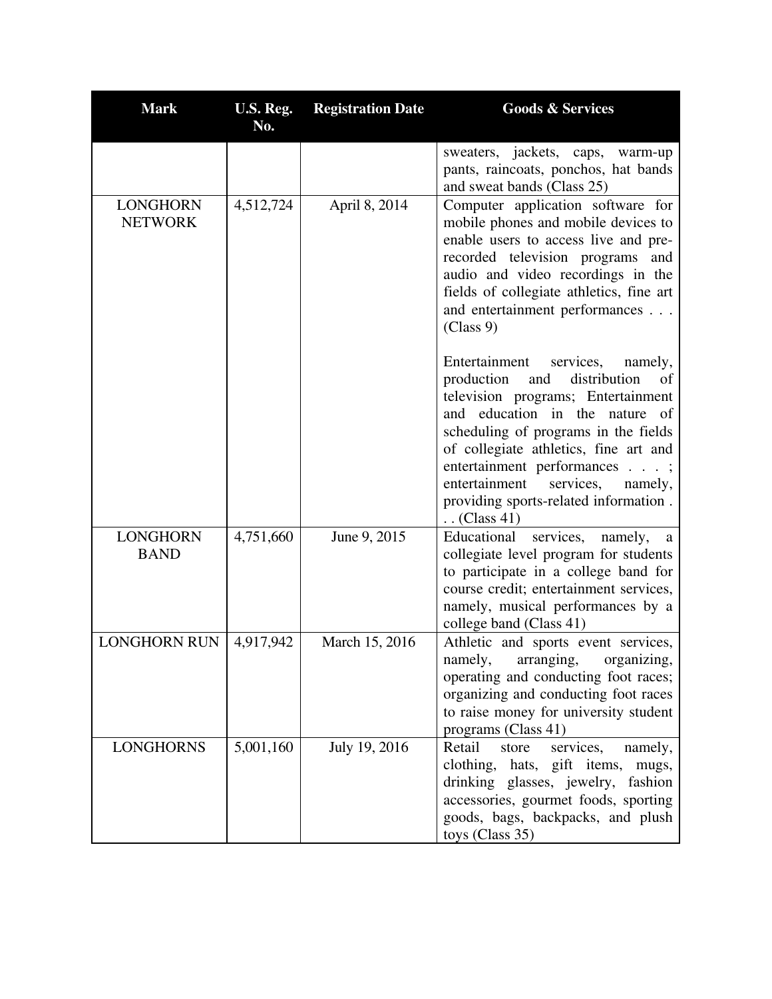| <b>Mark</b>                       | U.S. Reg.<br>No. | <b>Registration Date</b> | <b>Goods &amp; Services</b>                                                                                                                                                                                                                                                                                                                                                        |
|-----------------------------------|------------------|--------------------------|------------------------------------------------------------------------------------------------------------------------------------------------------------------------------------------------------------------------------------------------------------------------------------------------------------------------------------------------------------------------------------|
|                                   |                  |                          | sweaters, jackets, caps, warm-up<br>pants, raincoats, ponchos, hat bands<br>and sweat bands (Class 25)                                                                                                                                                                                                                                                                             |
| <b>LONGHORN</b><br><b>NETWORK</b> | 4,512,724        | April 8, 2014            | Computer application software for<br>mobile phones and mobile devices to<br>enable users to access live and pre-<br>recorded television programs and<br>audio and video recordings in the<br>fields of collegiate athletics, fine art<br>and entertainment performances<br>(Class 9)                                                                                               |
|                                   |                  |                          | Entertainment<br>services,<br>namely,<br>production<br>distribution<br>and<br>of<br>television programs; Entertainment<br>and education in the nature of<br>scheduling of programs in the fields<br>of collegiate athletics, fine art and<br>entertainment performances ;<br>entertainment<br>services,<br>namely,<br>providing sports-related information.<br>$\ldots$ (Class 41) |
| <b>LONGHORN</b><br><b>BAND</b>    | 4,751,660        | June 9, 2015             | Educational<br>services, namely, a<br>collegiate level program for students<br>to participate in a college band for<br>course credit; entertainment services,<br>namely, musical performances by a<br>college band (Class 41)                                                                                                                                                      |
| <b>LONGHORN RUN</b>               | 4,917,942        | March 15, 2016           | Athletic and sports event services,<br>namely, arranging, organizing,<br>operating and conducting foot races;<br>organizing and conducting foot races<br>to raise money for university student<br>programs (Class 41)                                                                                                                                                              |
| <b>LONGHORNS</b>                  | 5,001,160        | July 19, 2016            | Retail<br>services,<br>store<br>namely,<br>clothing, hats, gift items,<br>mugs,<br>drinking glasses, jewelry, fashion<br>accessories, gourmet foods, sporting<br>goods, bags, backpacks, and plush<br>toys (Class 35)                                                                                                                                                              |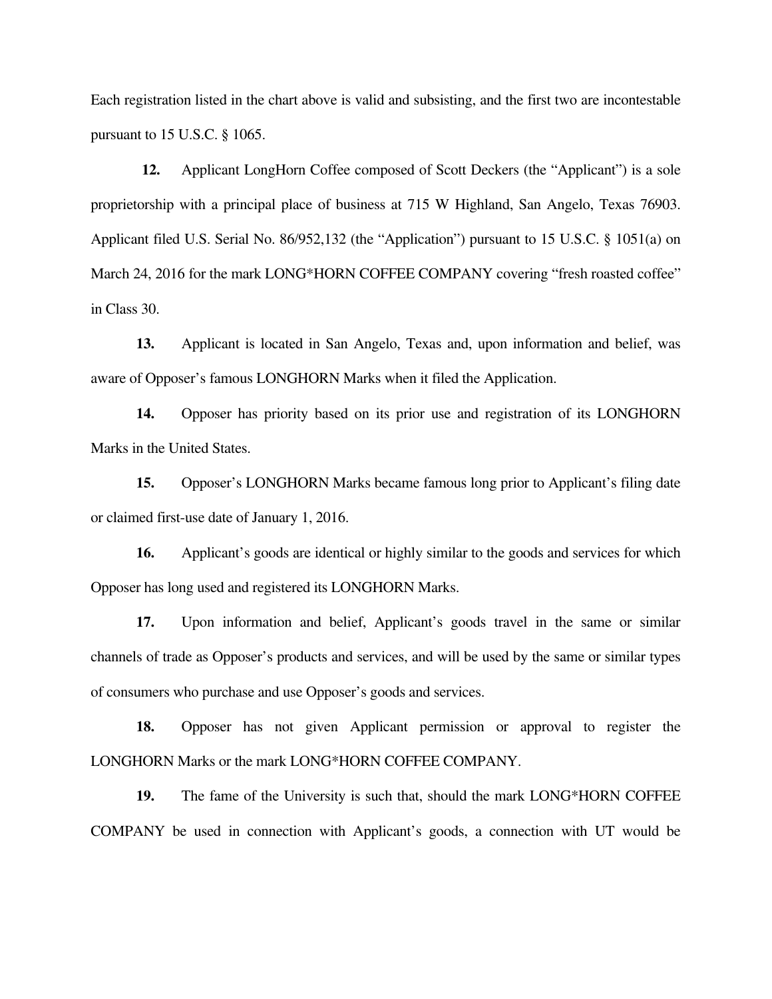Each registration listed in the chart above is valid and subsisting, and the first two are incontestable pursuant to 15 U.S.C. § 1065.

**12.** Applicant LongHorn Coffee composed of Scott Deckers (the "Applicant") is a sole proprietorship with a principal place of business at 715 W Highland, San Angelo, Texas 76903. Applicant filed U.S. Serial No. 86/952,132 (the "Application") pursuant to 15 U.S.C. § 1051(a) on March 24, 2016 for the mark LONG\*HORN COFFEE COMPANY covering "fresh roasted coffee" in Class 30.

**13.** Applicant is located in San Angelo, Texas and, upon information and belief, was aware of Opposer's famous LONGHORN Marks when it filed the Application.

**14.** Opposer has priority based on its prior use and registration of its LONGHORN Marks in the United States.

**15.** Opposer's LONGHORN Marks became famous long prior to Applicant's filing date or claimed first-use date of January 1, 2016.

 **16.** Applicant's goods are identical or highly similar to the goods and services for which Opposer has long used and registered its LONGHORN Marks.

**17.** Upon information and belief, Applicant's goods travel in the same or similar channels of trade as Opposer's products and services, and will be used by the same or similar types of consumers who purchase and use Opposer's goods and services.

**18.** Opposer has not given Applicant permission or approval to register the LONGHORN Marks or the mark LONG\*HORN COFFEE COMPANY.

**19.** The fame of the University is such that, should the mark LONG\*HORN COFFEE COMPANY be used in connection with Applicant's goods, a connection with UT would be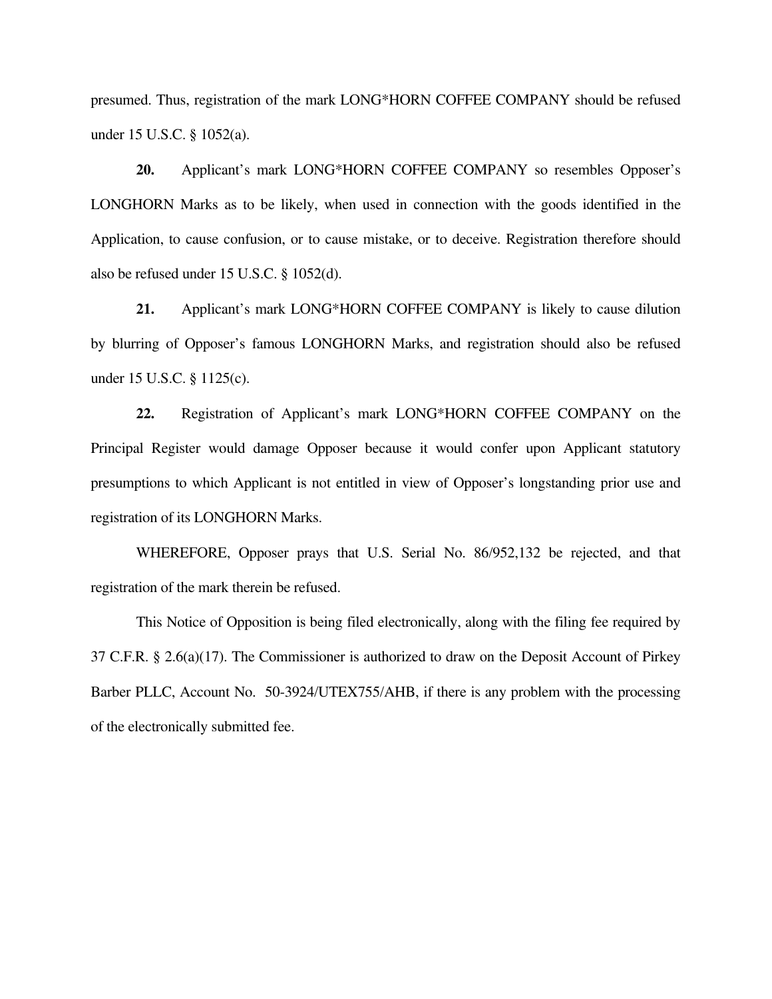presumed. Thus, registration of the mark LONG\*HORN COFFEE COMPANY should be refused under 15 U.S.C. § 1052(a).

**20.** Applicant's mark LONG\*HORN COFFEE COMPANY so resembles Opposer's LONGHORN Marks as to be likely, when used in connection with the goods identified in the Application, to cause confusion, or to cause mistake, or to deceive. Registration therefore should also be refused under 15 U.S.C. § 1052(d).

**21.** Applicant's mark LONG\*HORN COFFEE COMPANY is likely to cause dilution by blurring of Opposer's famous LONGHORN Marks, and registration should also be refused under 15 U.S.C. § 1125(c).

**22.** Registration of Applicant's mark LONG\*HORN COFFEE COMPANY on the Principal Register would damage Opposer because it would confer upon Applicant statutory presumptions to which Applicant is not entitled in view of Opposer's longstanding prior use and registration of its LONGHORN Marks.

 WHEREFORE, Opposer prays that U.S. Serial No. 86/952,132 be rejected, and that registration of the mark therein be refused.

 This Notice of Opposition is being filed electronically, along with the filing fee required by 37 C.F.R. § 2.6(a)(17). The Commissioner is authorized to draw on the Deposit Account of Pirkey Barber PLLC, Account No. 50-3924/UTEX755/AHB, if there is any problem with the processing of the electronically submitted fee.